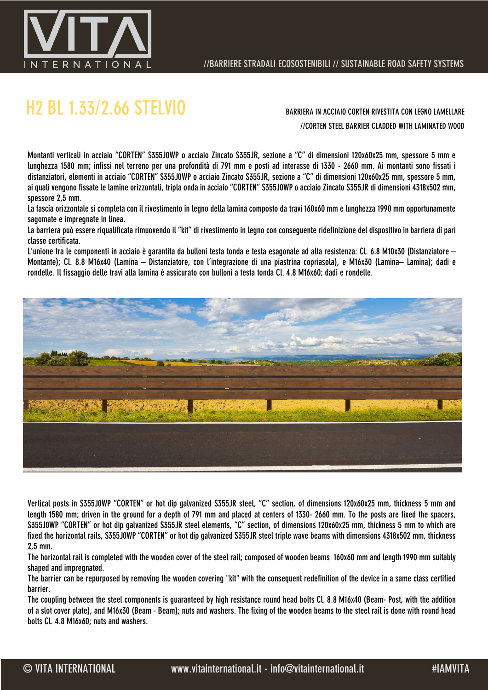

## H2 BL 1.33/2.66 STELVIO BARRIERA IN ACCIAIO CORTEN RIVESTITA CON LEGNO LAMELLARE

//CORTEN STEEL BARRIER CLADDED WITH LAMINATED WOOD

Montanti verticali in acciaio "CORTEN" S355J0WP o acciaio Zincato S355JR, sezione a "C" di dimensioni 120x60x25 mm, spessore 5 mm e lunghezza 1580 mm; infissi nel terreno per una profondità di 791 mm e posti ad interasse di 1330 - 2660 mm. Ai montanti sono fissati i distanziatori, elementi in acciaio "CORTEN" S355J0WP o acciaio Zincato S355JR, sezione a "C" di dimensioni 120x60x25 mm, spessore 5 mm, ai quali vengono fissate le lamine orizzontali, tripla onda in acciaio "CORTEN" S355J0WP o acciaio Zincato S355JR di dimensioni 4318x502 mm, spessore 2,5 mm.

La fascia orizzontale si completa con il rivestimento in legno della lamina composto da travi 160x60 mm e lunghezza 1990 mm opportunamente sagomate e impregnate in linea.

La barriera può essere riqualificata rimuovendo il "kit" di rivestimento in legno con conseguente ridefinizione del dispositivo in barriera di pari classe certificata.

L'unione tra le componenti in acciaio è garantita da bulloni testa tonda e testa esagonale ad alta resistenza: Cl. 6.8 M10x30 (Distanziatore – Montante); Cl. 8.8 M16x40 (Lamina – Distanziatore, con l'integrazione di una piastrina copriasola), e M16x30 (Lamina– Lamina); dadi e rondelle. Il fissaggio delle travi alla lamina è assicurato con bulloni a testa tonda Cl. 4.8 M16x60; dadi e rondelle.



Vertical posts in S355J0WP "CORTEN" or hot dip galvanized S355JR steel, "C" section, of dimensions 120x60x25 mm, thickness 5 mm and length 1580 mm; driven in the ground for a depth of 791 mm and placed at centers of 1330- 2660 mm. To the posts are fixed the spacers, S355J0WP "CORTEN" or hot dip galvanized S355JR steel elements, "C" section, of dimensions 120x60x25 mm, thickness 5 mm to which are fixed the horizontal rails, S355J0WP "CORTEN" or hot dip galvanized S355JR steel triple wave beams with dimensions 4318x502 mm, thickness 2,5 mm.

The horizontal rail is completed with the wooden cover of the steel rail; composed of wooden beams 160x60 mm and length 1990 mm suitably shaped and impregnated.

The barrier can be repurposed by removing the wooden covering "kit" with the consequent redefinition of the device in a same class certified barrier.

The coupling between the steel components is guaranteed by high resistance round head bolts Cl. 8.8 M16x40 (Beam- Post, with the addition of a slot cover plate), and M16x30 (Beam - Beam); nuts and washers. The fixing of the wooden beams to the steel rail is done with round head bolts Cl. 4.8 M16x60; nuts and washers.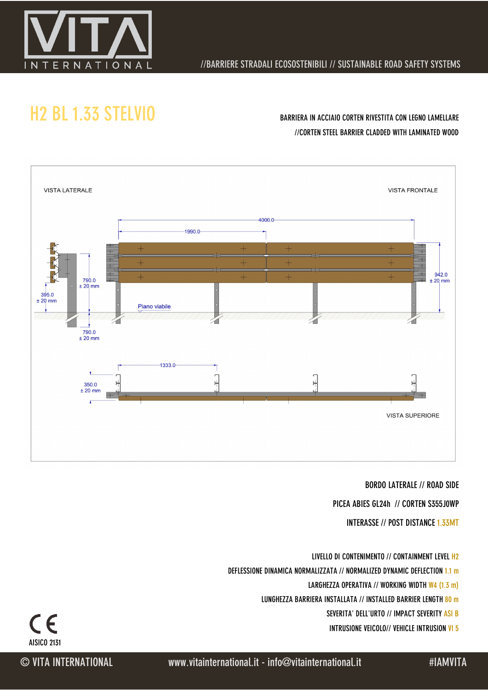

### //BARRIERE STRADALI ECOSOSTENIBILI // SUSTAINABLE ROAD SAFETY SYSTEMS

## H2 BL 1.33 STELVIO BARRIERA IN ACCIAIO CORTEN RIVESTITA CON LEGNO LAMELLARE

# //CORTEN STEEL BARRIER CLADDED WITH LAMINATED WOOD



#### BORDO LATERALE // ROAD SIDE

PICEA ABIES GL24h // CORTEN S355J0WP

INTERASSE // POST DISTANCE 1.33MT

- LIVELLO DI CONTENIMENTO // CONTAINMENT LEVEL H2
- DEFLESSIONE DINAMICA NORMALIZZATA // NORMALIZED DYNAMIC DEFLECTION 1.1 m
	- LARGHEZZA OPERATIVA // WORKING WIDTH W4 (1.3 m)
	- LUNGHEZZA BARRIERA INSTALLATA // INSTALLED BARRIER LENGTH 80 m
		- SEVERITA' DELL'URTO // IMPACT SEVERITY ASI B
		- INTRUSIONE VEICOLO// VEHICLE INTRUSION VI 5

AISICO 2131

 $\epsilon$